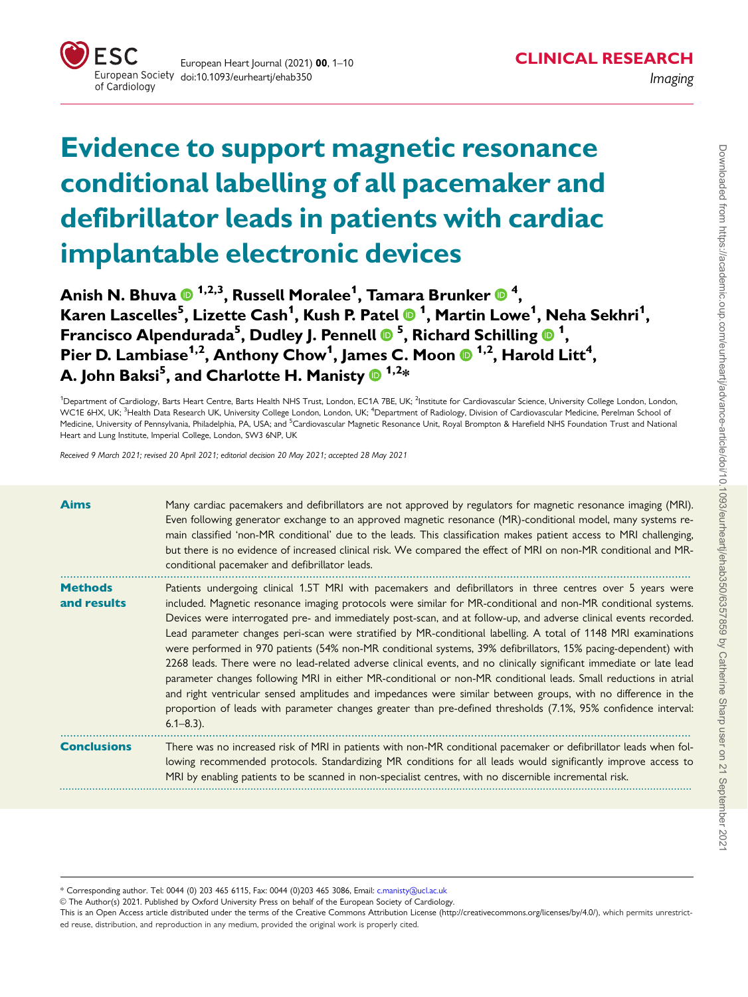

# Evidence to support magnetic resonance conditional labelling of all pacemaker and defibrillator leads in patients with cardiac implantable electronic devices

Anish N. Bhuva ® <sup>1,2,3</sup>, Russell Moralee<sup>1</sup>, Tamara Brunker ® <sup>4</sup>, Karen Lascelles<sup>5</sup> , Lizette Cash1 , Kush P. Patel <sup>1</sup> , Martin Lowe1 , Neha Sekhri1 , Francisco Alpendurada<sup>5</sup>, Dudley J. Pennell ® <sup>5</sup>, Richard Schilling ® <sup>1</sup>, Pier D. Lambiase $^{1,2}$ , Anthony Chow $^{1}$ , James C. Moon  $\boldsymbol{\Phi}^{1,2}$ , Harold Litt $^{4}$ , A. John Baksi $^5$ , and Charlotte H. Manisty  $\bm{\mathsf{\Theta}}^{ \ 1,2} \bm{\ast}$ 

<sup>1</sup>Department of Cardiology, Barts Heart Centre, Barts Health NHS Trust, London, EC1A 7BE, UK; <sup>2</sup>Institute for Cardiovascular Science, University College London, London, WC1E 6HX, UK; <sup>3</sup>Health Data Research UK, University College London, London, UK; <sup>4</sup>Department of Radiology, Division of Cardiovascular Medicine, Perelman School of Medicine, University of Pennsylvania, Philadelphia, PA, USA; and <sup>5</sup>Cardiovascular Magnetic Resonance Unit, Royal Brompton & Harefield NHS Foundation Trust and National Heart and Lung Institute, Imperial College, London, SW3 6NP, UK

Received 9 March 2021; revised 20 April 2021; editorial decision 20 May 2021; accepted 28 May 2021

| <b>Aims</b>                   | Many cardiac pacemakers and defibrillators are not approved by regulators for magnetic resonance imaging (MRI).<br>Even following generator exchange to an approved magnetic resonance (MR)-conditional model, many systems re-<br>main classified 'non-MR conditional' due to the leads. This classification makes patient access to MRI challenging,<br>but there is no evidence of increased clinical risk. We compared the effect of MRI on non-MR conditional and MR-<br>conditional pacemaker and defibrillator leads.                                                                                                                                                                                                                                                                                                                                                                                                                                                                                                                                                            |
|-------------------------------|-----------------------------------------------------------------------------------------------------------------------------------------------------------------------------------------------------------------------------------------------------------------------------------------------------------------------------------------------------------------------------------------------------------------------------------------------------------------------------------------------------------------------------------------------------------------------------------------------------------------------------------------------------------------------------------------------------------------------------------------------------------------------------------------------------------------------------------------------------------------------------------------------------------------------------------------------------------------------------------------------------------------------------------------------------------------------------------------|
| <b>Methods</b><br>and results | Patients undergoing clinical 1.5T MRI with pacemakers and defibrillators in three centres over 5 years were<br>included. Magnetic resonance imaging protocols were similar for MR-conditional and non-MR conditional systems.<br>Devices were interrogated pre- and immediately post-scan, and at follow-up, and adverse clinical events recorded.<br>Lead parameter changes peri-scan were stratified by MR-conditional labelling. A total of 1148 MRI examinations<br>were performed in 970 patients (54% non-MR conditional systems, 39% defibrillators, 15% pacing-dependent) with<br>2268 leads. There were no lead-related adverse clinical events, and no clinically significant immediate or late lead<br>parameter changes following MRI in either MR-conditional or non-MR conditional leads. Small reductions in atrial<br>and right ventricular sensed amplitudes and impedances were similar between groups, with no difference in the<br>proportion of leads with parameter changes greater than pre-defined thresholds (7.1%, 95% confidence interval:<br>$6.1 - 8.3$ ). |
| <b>Conclusions</b>            | There was no increased risk of MRI in patients with non-MR conditional pacemaker or defibrillator leads when fol-<br>lowing recommended protocols. Standardizing MR conditions for all leads would significantly improve access to<br>MRI by enabling patients to be scanned in non-specialist centres, with no discernible incremental risk.                                                                                                                                                                                                                                                                                                                                                                                                                                                                                                                                                                                                                                                                                                                                           |

\* Corresponding author. Tel: 0044 (0) 203 465 6115, Fax: 0044 (0)203 465 3086, Email: c.manisty@ucl.ac.uk

V<sup>C</sup> The Author(s) 2021. Published by Oxford University Press on behalf of the European Society of Cardiology.

This is an Open Access article distributed under the terms of the Creative Commons Attribution License [\(http://creativecommons.org/licenses/by/4.0/](Undefined namespace prefix
xmlXPathCompOpEval: parameter error
xmlXPathEval: evaluation failed
)), which permits unrestricted reuse, distribution, and reproduction in any medium, provided the original work is properly cited.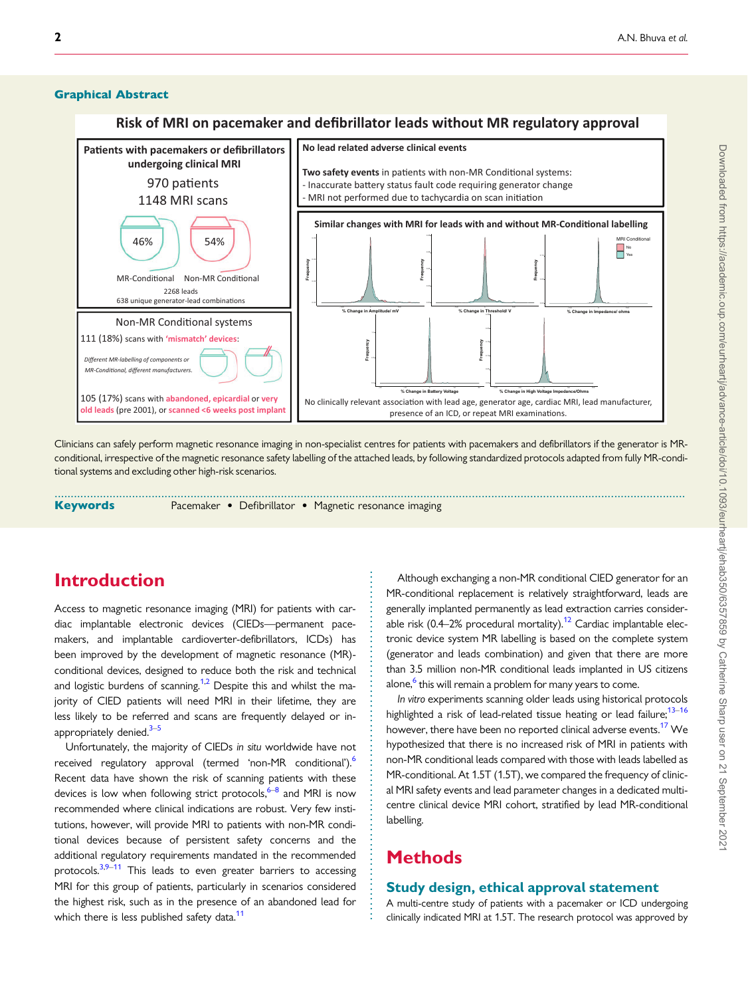#### <span id="page-1-0"></span>Graphical Abstract

#### **Risk of MRI on pacemaker and defibrillator leads without MR regulatory approval**



Clinicians can safely perform magnetic resonance imaging in non-specialist centres for patients with pacemakers and defibrillators if the generator is MRconditional, irrespective of the magnetic resonance safety labelling of the attached leads, by following standardized protocols adapted from fully MR-conditional systems and excluding other high-risk scenarios.

Keywords **Pacemaker • Defibrillator • Magnetic resonance imaging** ...................................................................................................................................................................................................

### Introduction

Access to magnetic resonance imaging (MRI) for patients with cardiac implantable electronic devices (CIEDs—permanent pacemakers, and implantable cardioverter-defibrillators, ICDs) has been improved by the development of magnetic resonance (MR) conditional devices, designed to reduce both the risk and technical and logistic burdens of scanning.<sup>1,2</sup> Despite this and whilst the majority of CIED patients will need MRI in their lifetime, they are less likely to be referred and scans are frequently delayed or inappropriately denied.<sup>3-5</sup>

Unfortunately, the majority of CIEDs in situ worldwide have not received regulatory approval (termed 'non-MR conditional').<sup>6</sup> Recent data have shown the risk of scanning patients with these devices is low when following strict protocols,  $6-8$  and MRI is now recommended where clinical indications are robust. Very few institutions, however, will provide MRI to patients with non-MR conditional devices because of persistent safety concerns and the additional regulatory requirements mandated in the recommended protocols. $3,9-11$  This leads to even greater barriers to accessing MRI for this group of patients, particularly in scenarios considered the highest risk, such as in the presence of an abandoned lead for which there is less published safety data.<sup>[11](#page-8-0)</sup>

Although exchanging a non-MR conditional CIED generator for an MR-conditional replacement is relatively straightforward, leads are generally implanted permanently as lead extraction carries considerable risk  $(0.4-2)$  procedural mortality).<sup>[12](#page-8-0)</sup> Cardiac implantable electronic device system MR labelling is based on the complete system (generator and leads combination) and given that there are more than 3.5 million non-MR conditional leads implanted in US citizens alone, $6$  this will remain a problem for many years to come.

In vitro experiments scanning older leads using historical protocols highlighted a risk of lead-related tissue heating or lead failure:<sup>13-16</sup> however, there have been no reported clinical adverse events.<sup>[17](#page-8-0)</sup> We hypothesized that there is no increased risk of MRI in patients with non-MR conditional leads compared with those with leads labelled as MR-conditional. At 1.5T (1.5T), we compared the frequency of clinical MRI safety events and lead parameter changes in a dedicated multicentre clinical device MRI cohort, stratified by lead MR-conditional labelling.

## **Methods**

. . . . . . . . . . . . . . . . . . . . . . . . . . . . . . . . . . . . . . . . . . . . . . . . . . . . . . . . . . . . . . . . . . . . . . .

#### Study design, ethical approval statement

A multi-centre study of patients with a pacemaker or ICD undergoing clinically indicated MRI at 1.5T. The research protocol was approved by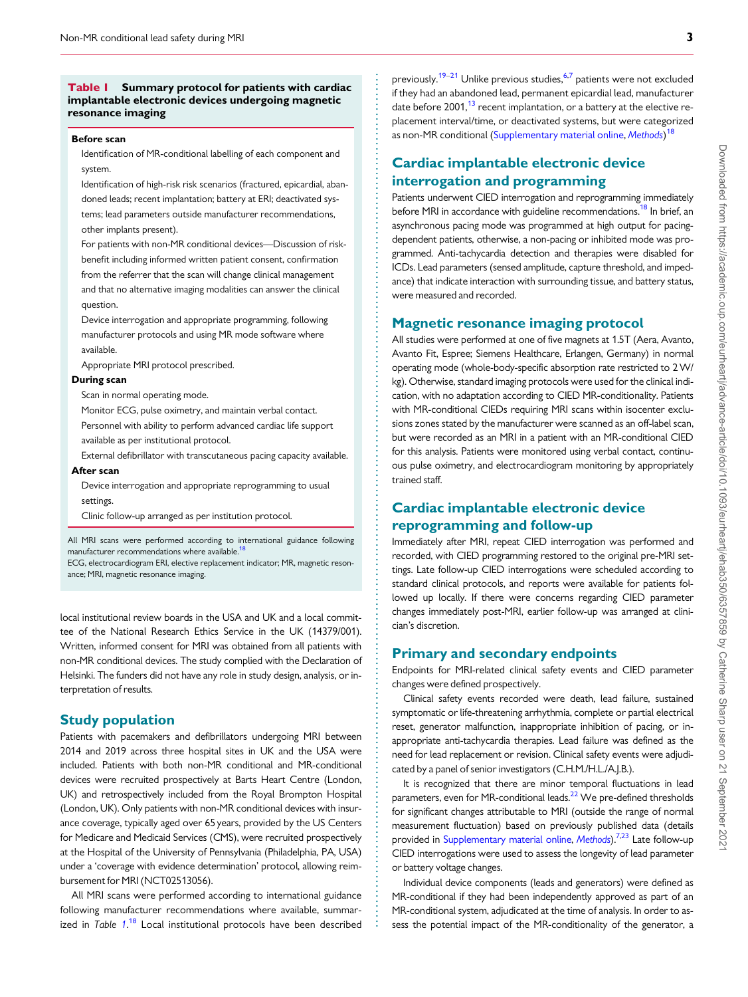#### <span id="page-2-0"></span>Table I Summary protocol for patients with cardiac implantable electronic devices undergoing magnetic resonance imaging

#### Before scan

Identification of MR-conditional labelling of each component and system.

Identification of high-risk risk scenarios (fractured, epicardial, abandoned leads; recent implantation; battery at ERI; deactivated systems; lead parameters outside manufacturer recommendations, other implants present).

For patients with non-MR conditional devices—Discussion of riskbenefit including informed written patient consent, confirmation from the referrer that the scan will change clinical management and that no alternative imaging modalities can answer the clinical question.

Device interrogation and appropriate programming, following manufacturer protocols and using MR mode software where available.

Appropriate MRI protocol prescribed.

#### During scan

Scan in normal operating mode.

Monitor ECG, pulse oximetry, and maintain verbal contact.

Personnel with ability to perform advanced cardiac life support available as per institutional protocol.

External defibrillator with transcutaneous pacing capacity available. After scan

Device interrogation and appropriate reprogramming to usual settings.

Clinic follow-up arranged as per institution protocol.

All MRI scans were performed according to international guidance following manufacturer recommendations where available.

ECG, electrocardiogram ERI, elective replacement indicator; MR, magnetic resonance; MRI, magnetic resonance imaging.

local institutional review boards in the USA and UK and a local committee of the National Research Ethics Service in the UK (14379/001). Written, informed consent for MRI was obtained from all patients with non-MR conditional devices. The study complied with the Declaration of Helsinki. The funders did not have any role in study design, analysis, or interpretation of results.

#### Study population

Patients with pacemakers and defibrillators undergoing MRI between 2014 and 2019 across three hospital sites in UK and the USA were included. Patients with both non-MR conditional and MR-conditional devices were recruited prospectively at Barts Heart Centre (London, UK) and retrospectively included from the Royal Brompton Hospital (London, UK). Only patients with non-MR conditional devices with insurance coverage, typically aged over 65 years, provided by the US Centers for Medicare and Medicaid Services (CMS), were recruited prospectively at the Hospital of the University of Pennsylvania (Philadelphia, PA, USA) under a 'coverage with evidence determination' protocol, allowing reimbursement for MRI (NCT02513056).

All MRI scans were performed according to international guidance following manufacturer recommendations where available, summar-ized in Table 1.<sup>[18](#page-8-0)</sup> Local institutional protocols have been described

. . . . . . . . . . . . . . . . . . . . . . . . . . . . . . . . . . . . . . . . . . . . . . . . . . . . . . . . . . . . . . . . . . . . . . . . . . . . . . . . . . . . . . . . . . . . . . . . . . . . . . . . . . . . . . . . . . . . . . . . . . . . . . . . . . . . . . . . . . . . . . . . . . . . . . . . . . . . . . . . . . . . . . . . . . . . .

previously.<sup>[19](#page-9-0)–[21](#page-9-0)</sup> Unlike previous studies,<sup>[6,7](#page-8-0)</sup> patients were not excluded if they had an abandoned lead, permanent epicardial lead, manufacturer date before  $2001$ ,<sup>[13](#page-8-0)</sup> recent implantation, or a battery at the elective replacement interval/time, or deactivated systems, but were categorized as non-MR conditional [\(Supplementary material online,](https://academic.oup.com/eurheartj/article-lookup/doi/10.1093/eurheartj/ehab350#supplementary-data) [Methods](https://academic.oup.com/eurheartj/article-lookup/doi/10.1093/eurheartj/ehab350#supplementary-data))<sup>[18](#page-8-0)</sup>

### Cardiac implantable electronic device interrogation and programming

Patients underwent CIED interrogation and reprogramming immediately before MRI in accordance with guideline recommendations.<sup>18</sup> In brief, an asynchronous pacing mode was programmed at high output for pacingdependent patients, otherwise, a non-pacing or inhibited mode was programmed. Anti-tachycardia detection and therapies were disabled for ICDs. Lead parameters (sensed amplitude, capture threshold, and impedance) that indicate interaction with surrounding tissue, and battery status, were measured and recorded.

#### Magnetic resonance imaging protocol

All studies were performed at one of five magnets at 1.5T (Aera, Avanto, Avanto Fit, Espree; Siemens Healthcare, Erlangen, Germany) in normal operating mode (whole-body-specific absorption rate restricted to 2W/ kg). Otherwise, standard imaging protocols were used for the clinical indication, with no adaptation according to CIED MR-conditionality. Patients with MR-conditional CIEDs requiring MRI scans within isocenter exclusions zones stated by the manufacturer were scanned as an off-label scan, but were recorded as an MRI in a patient with an MR-conditional CIED for this analysis. Patients were monitored using verbal contact, continuous pulse oximetry, and electrocardiogram monitoring by appropriately trained staff.

#### Cardiac implantable electronic device reprogramming and follow-up

Immediately after MRI, repeat CIED interrogation was performed and recorded, with CIED programming restored to the original pre-MRI settings. Late follow-up CIED interrogations were scheduled according to standard clinical protocols, and reports were available for patients followed up locally. If there were concerns regarding CIED parameter changes immediately post-MRI, earlier follow-up was arranged at clinician's discretion.

#### Primary and secondary endpoints

Endpoints for MRI-related clinical safety events and CIED parameter changes were defined prospectively.

Clinical safety events recorded were death, lead failure, sustained symptomatic or life-threatening arrhythmia, complete or partial electrical reset, generator malfunction, inappropriate inhibition of pacing, or inappropriate anti-tachycardia therapies. Lead failure was defined as the need for lead replacement or revision. Clinical safety events were adjudicated by a panel of senior investigators (C.H.M./H.L./A.J.B.).

It is recognized that there are minor temporal fluctuations in lead parameters, even for MR-conditional leads.<sup>22</sup> We pre-defined thresholds for significant changes attributable to MRI (outside the range of normal measurement fluctuation) based on previously published data (details provided in [Supplementary material online](https://academic.oup.com/eurheartj/article-lookup/doi/10.1093/eurheartj/ehab350#supplementary-data), [Methods](https://academic.oup.com/eurheartj/article-lookup/doi/10.1093/eurheartj/ehab350#supplementary-data)).<sup>[7,](#page-8-0)[23](#page-9-0)</sup> Late follow-up CIED interrogations were used to assess the longevity of lead parameter or battery voltage changes.

Individual device components (leads and generators) were defined as MR-conditional if they had been independently approved as part of an MR-conditional system, adjudicated at the time of analysis. In order to assess the potential impact of the MR-conditionality of the generator, a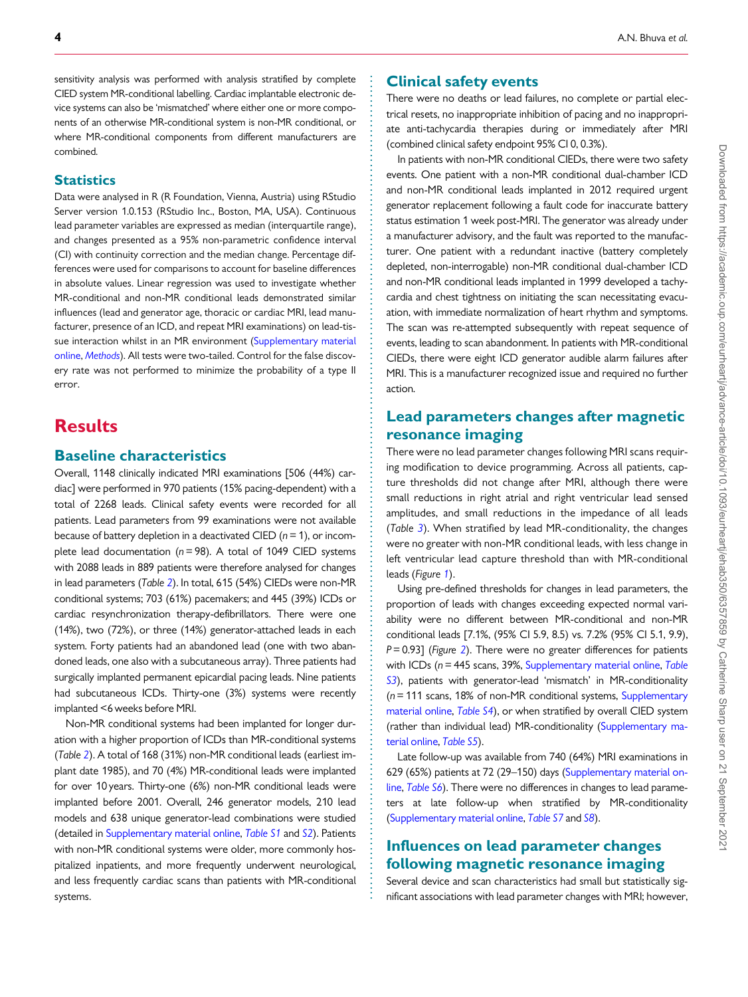. sensitivity analysis was performed with analysis stratified by complete CIED system MR-conditional labelling. Cardiac implantable electronic device systems can also be 'mismatched' where either one or more components of an otherwise MR-conditional system is non-MR conditional, or where MR-conditional components from different manufacturers are combined.

#### **Statistics**

Data were analysed in R (R Foundation, Vienna, Austria) using RStudio Server version 1.0.153 (RStudio Inc., Boston, MA, USA). Continuous lead parameter variables are expressed as median (interquartile range), and changes presented as a 95% non-parametric confidence interval (CI) with continuity correction and the median change. Percentage differences were used for comparisons to account for baseline differences in absolute values. Linear regression was used to investigate whether MR-conditional and non-MR conditional leads demonstrated similar influences (lead and generator age, thoracic or cardiac MRI, lead manufacturer, presence of an ICD, and repeat MRI examinations) on lead-tissue interaction whilst in an MR environment [\(Supplementary material](https://academic.oup.com/eurheartj/article-lookup/doi/10.1093/eurheartj/ehab350#supplementary-data) [online](https://academic.oup.com/eurheartj/article-lookup/doi/10.1093/eurheartj/ehab350#supplementary-data), [Methods](https://academic.oup.com/eurheartj/article-lookup/doi/10.1093/eurheartj/ehab350#supplementary-data)). All tests were two-tailed. Control for the false discovery rate was not performed to minimize the probability of a type II error.

### **Results**

#### Baseline characteristics

Overall, 1148 clinically indicated MRI examinations [506 (44%) cardiac] were performed in 970 patients (15% pacing-dependent) with a total of 2268 leads. Clinical safety events were recorded for all patients. Lead parameters from 99 examinations were not available because of battery depletion in a deactivated CIED ( $n = 1$ ), or incomplete lead documentation ( $n = 98$ ). A total of 1049 CIED systems with 2088 leads in 889 patients were therefore analysed for changes in lead parameters (Table [2](#page-4-0)). In total, 615 (54%) CIEDs were non-MR conditional systems; 703 (61%) pacemakers; and 445 (39%) ICDs or cardiac resynchronization therapy-defibrillators. There were one (14%), two (72%), or three (14%) generator-attached leads in each system. Forty patients had an abandoned lead (one with two abandoned leads, one also with a subcutaneous array). Three patients had surgically implanted permanent epicardial pacing leads. Nine patients had subcutaneous ICDs. Thirty-one (3%) systems were recently implanted <6 weeks before MRI.

Non-MR conditional systems had been implanted for longer duration with a higher proportion of ICDs than MR-conditional systems (Table [2](#page-4-0)). A total of 168 (31%) non-MR conditional leads (earliest implant date 1985), and 70 (4%) MR-conditional leads were implanted for over 10 years. Thirty-one (6%) non-MR conditional leads were implanted before 2001. Overall, 246 generator models, 210 lead models and 638 unique generator-lead combinations were studied (detailed in [Supplementary material online](https://academic.oup.com/eurheartj/article-lookup/doi/10.1093/eurheartj/ehab350#supplementary-data), [Table S1](https://academic.oup.com/eurheartj/article-lookup/doi/10.1093/eurheartj/ehab350#supplementary-data) and [S2](https://academic.oup.com/eurheartj/article-lookup/doi/10.1093/eurheartj/ehab350#supplementary-data)). Patients with non-MR conditional systems were older, more commonly hospitalized inpatients, and more frequently underwent neurological, and less frequently cardiac scans than patients with MR-conditional systems.

#### Clinical safety events

There were no deaths or lead failures, no complete or partial electrical resets, no inappropriate inhibition of pacing and no inappropriate anti-tachycardia therapies during or immediately after MRI (combined clinical safety endpoint 95% CI 0, 0.3%).

In patients with non-MR conditional CIEDs, there were two safety events. One patient with a non-MR conditional dual-chamber ICD and non-MR conditional leads implanted in 2012 required urgent generator replacement following a fault code for inaccurate battery status estimation 1 week post-MRI. The generator was already under a manufacturer advisory, and the fault was reported to the manufacturer. One patient with a redundant inactive (battery completely depleted, non-interrogable) non-MR conditional dual-chamber ICD and non-MR conditional leads implanted in 1999 developed a tachycardia and chest tightness on initiating the scan necessitating evacuation, with immediate normalization of heart rhythm and symptoms. The scan was re-attempted subsequently with repeat sequence of events, leading to scan abandonment. In patients with MR-conditional CIEDs, there were eight ICD generator audible alarm failures after MRI. This is a manufacturer recognized issue and required no further action.

### Lead parameters changes after magnetic resonance imaging

There were no lead parameter changes following MRI scans requiring modification to device programming. Across all patients, capture thresholds did not change after MRI, although there were small reductions in right atrial and right ventricular lead sensed amplitudes, and small reductions in the impedance of all leads (Table [3](#page-5-0)). When stratified by lead MR-conditionality, the changes were no greater with non-MR conditional leads, with less change in left ventricular lead capture threshold than with MR-conditional leads (Figure [1](#page-6-0)).

Using pre-defined thresholds for changes in lead parameters, the proportion of leads with changes exceeding expected normal variability were no different between MR-conditional and non-MR conditional leads [7.1%, (95% CI 5.9, 8.5) vs. 7.2% (95% CI 5.1, 9.9),  $P = 0.93$ ] (Figure [2](#page-7-0)). There were no greater differences for patients with ICDs ( $n = 445$  scans, 39%, [Supplementary material online,](https://academic.oup.com/eurheartj/article-lookup/doi/10.1093/eurheartj/ehab350#supplementary-data) [Table](https://academic.oup.com/eurheartj/article-lookup/doi/10.1093/eurheartj/ehab350#supplementary-data) [S3](https://academic.oup.com/eurheartj/article-lookup/doi/10.1093/eurheartj/ehab350#supplementary-data)), patients with generator-lead 'mismatch' in MR-conditionality  $(n = 111$  scans, 18% of non-MR conditional systems, [Supplementary](https://academic.oup.com/eurheartj/article-lookup/doi/10.1093/eurheartj/ehab350#supplementary-data) [material online,](https://academic.oup.com/eurheartj/article-lookup/doi/10.1093/eurheartj/ehab350#supplementary-data) [Table S4](https://academic.oup.com/eurheartj/article-lookup/doi/10.1093/eurheartj/ehab350#supplementary-data)), or when stratified by overall CIED system (rather than individual lead) MR-conditionality ([Supplementary ma](https://academic.oup.com/eurheartj/article-lookup/doi/10.1093/eurheartj/ehab350#supplementary-data)[terial online,](https://academic.oup.com/eurheartj/article-lookup/doi/10.1093/eurheartj/ehab350#supplementary-data) [Table S5](https://academic.oup.com/eurheartj/article-lookup/doi/10.1093/eurheartj/ehab350#supplementary-data)).

Late follow-up was available from 740 (64%) MRI examinations in 629 (65%) patients at 72 (29–150) days [\(Supplementary material on](https://academic.oup.com/eurheartj/article-lookup/doi/10.1093/eurheartj/ehab350#supplementary-data)[line,](https://academic.oup.com/eurheartj/article-lookup/doi/10.1093/eurheartj/ehab350#supplementary-data) [Table S6](https://academic.oup.com/eurheartj/article-lookup/doi/10.1093/eurheartj/ehab350#supplementary-data)). There were no differences in changes to lead parameters at late follow-up when stratified by MR-conditionality ([Supplementary material online,](https://academic.oup.com/eurheartj/article-lookup/doi/10.1093/eurheartj/ehab350#supplementary-data) [Table S7](https://academic.oup.com/eurheartj/article-lookup/doi/10.1093/eurheartj/ehab350#supplementary-data) and [S8](https://academic.oup.com/eurheartj/article-lookup/doi/10.1093/eurheartj/ehab350#supplementary-data)).

### Influences on lead parameter changes following magnetic resonance imaging

. . . . . . . . . . . . . . . . . . . . . . . . . . . . . . . . . . . . . . . . . . . . . . . . . . . . . . . . . . . . . . . . . . . . . . . . . . . . . . . . . . . . . . . . . . . . . . . . . . . . . . . . . . . . . . . . . . . . . . . . . . . . . . . . . . . . . . . . . . . . . . . . . . . . . . . . . . . . . . . . . . . . . .

Several device and scan characteristics had small but statistically significant associations with lead parameter changes with MRI; however,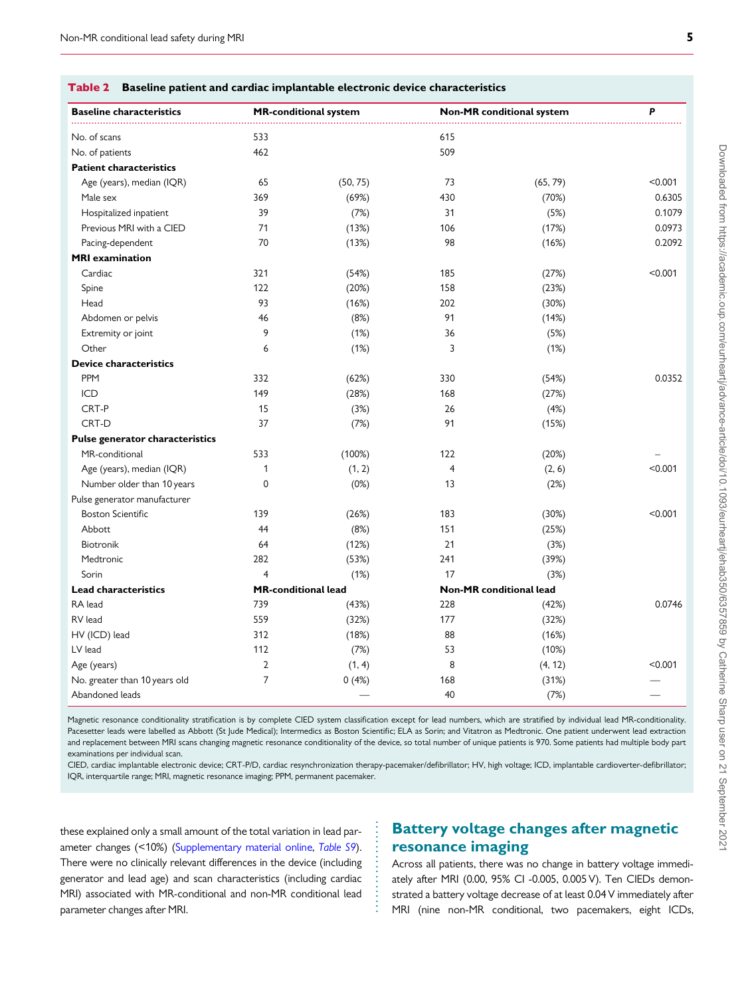<span id="page-4-0"></span>

| Table 2 Baseline patient and cardiac implantable electronic device characteristics |
|------------------------------------------------------------------------------------|

| <b>Baseline characteristics</b> |                            | <b>MR-conditional system</b> |                | <b>Non-MR</b> conditional system | P       |
|---------------------------------|----------------------------|------------------------------|----------------|----------------------------------|---------|
| No. of scans                    | 533                        |                              | 615            |                                  |         |
| No. of patients                 | 462                        |                              | 509            |                                  |         |
| <b>Patient characteristics</b>  |                            |                              |                |                                  |         |
| Age (years), median (IQR)       | 65                         | (50, 75)                     | 73             | (65, 79)                         | < 0.001 |
| Male sex                        | 369                        | (69%)                        | 430            | (70%)                            | 0.6305  |
| Hospitalized inpatient          | 39                         | (7%)                         | 31             | (5%)                             | 0.1079  |
| Previous MRI with a CIED        | 71                         | (13%)                        | 106            | (17%)                            | 0.0973  |
| Pacing-dependent                | 70                         | (13%)                        | 98             | (16%)                            | 0.2092  |
| <b>MRI</b> examination          |                            |                              |                |                                  |         |
| Cardiac                         | 321                        | (54%)                        | 185            | (27%)                            | < 0.001 |
| Spine                           | 122                        | (20%)                        | 158            | (23%)                            |         |
| Head                            | 93                         | (16%)                        | 202            | (30%)                            |         |
| Abdomen or pelvis               | 46                         | (8%)                         | 91             | (14%)                            |         |
| Extremity or joint              | 9                          | (1%)                         | 36             | (5%)                             |         |
| Other                           | 6                          | (1%)                         | 3              | (1%)                             |         |
| <b>Device characteristics</b>   |                            |                              |                |                                  |         |
| PPM                             | 332                        | (62%)                        | 330            | (54%)                            | 0.0352  |
| ICD                             | 149                        | (28%)                        | 168            | (27%)                            |         |
| CRT-P                           | 15                         | (3%)                         | 26             | (4%)                             |         |
| CRT-D                           | 37                         | (7%)                         | 91             | (15%)                            |         |
| Pulse generator characteristics |                            |                              |                |                                  |         |
| MR-conditional                  | 533                        | (100%)                       | 122            | (20%)                            |         |
| Age (years), median (IQR)       | $\mathbf{1}$               | (1, 2)                       | $\overline{4}$ | (2, 6)                           | < 0.001 |
| Number older than 10 years      | 0                          | (0%)                         | 13             | (2%)                             |         |
| Pulse generator manufacturer    |                            |                              |                |                                  |         |
| <b>Boston Scientific</b>        | 139                        | (26%)                        | 183            | (30%)                            | < 0.001 |
| Abbott                          | 44                         | (8%)                         | 151            | (25%)                            |         |
| Biotronik                       | 64                         | (12%)                        | 21             | (3%)                             |         |
| Medtronic                       | 282                        | (53%)                        | 241            | (39%)                            |         |
| Sorin                           | $\overline{4}$             | (1%)                         | 17             | (3%)                             |         |
| <b>Lead characteristics</b>     | <b>MR-conditional lead</b> |                              |                | Non-MR conditional lead          |         |
| RA lead                         | 739                        | (43%)                        | 228            | (42%)                            | 0.0746  |
| RV lead                         | 559                        | (32%)                        | 177            | (32%)                            |         |
| HV (ICD) lead                   | 312                        | (18%)                        | 88             | (16%)                            |         |
| LV lead                         | 112                        | (7%)                         | 53             | (10%)                            |         |
| Age (years)                     | $\overline{2}$             | (1, 4)                       | 8              | (4, 12)                          | < 0.001 |
| No. greater than 10 years old   | $\overline{7}$             | 0(4%)                        | 168            | (31%)                            |         |
| Abandoned leads                 |                            |                              | 40             | (7%)                             |         |

Magnetic resonance conditionality stratification is by complete CIED system classification except for lead numbers, which are stratified by individual lead MR-conditionality. Pacesetter leads were labelled as Abbott (St Jude Medical); Intermedics as Boston Scientific; ELA as Sorin; and Vitatron as Medtronic. One patient underwent lead extraction and replacement between MRI scans changing magnetic resonance conditionality of the device, so total number of unique patients is 970. Some patients had multiple body part examinations per individual scan.

CIED, cardiac implantable electronic device; CRT-P/D, cardiac resynchronization therapy-pacemaker/defibrillator; HV, high voltage; ICD, implantable cardioverter-defibrillator; IQR, interquartile range; MRI, magnetic resonance imaging; PPM, permanent pacemaker.

> . . . . . . . . . . . . . . . . . .

these explained only a small amount of the total variation in lead parameter changes (<10%) ([Supplementary material online,](https://academic.oup.com/eurheartj/article-lookup/doi/10.1093/eurheartj/ehab350#supplementary-data) [Table S9](https://academic.oup.com/eurheartj/article-lookup/doi/10.1093/eurheartj/ehab350#supplementary-data)). There were no clinically relevant differences in the device (including generator and lead age) and scan characteristics (including cardiac MRI) associated with MR-conditional and non-MR conditional lead parameter changes after MRI.

### Battery voltage changes after magnetic resonance imaging

Across all patients, there was no change in battery voltage immediately after MRI (0.00, 95% CI -0.005, 0.005 V). Ten CIEDs demonstrated a battery voltage decrease of at least 0.04 V immediately after MRI (nine non-MR conditional, two pacemakers, eight ICDs,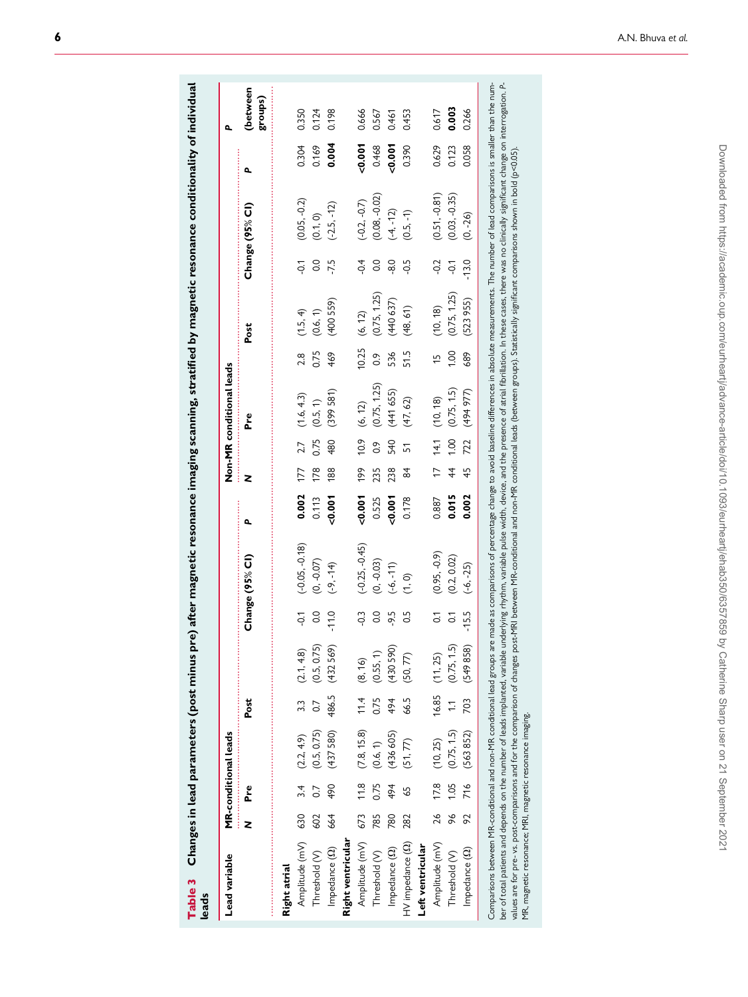<span id="page-5-0"></span>

| i<br>re) ait<br>֚֚֚֚֬֕<br>์<br>- |  |
|----------------------------------|--|
| Table 3                          |  |

| Lead variable         |     |      | MR-conditional leads |                |                    |                |                  |       |               |      | Non-MR conditional leads    |                |                               |                |                                    |          | ٩                   |
|-----------------------|-----|------|----------------------|----------------|--------------------|----------------|------------------|-------|---------------|------|-----------------------------|----------------|-------------------------------|----------------|------------------------------------|----------|---------------------|
|                       |     | Pre  |                      | Post           |                    |                | Change (95% CI)  | ٩     | z             |      | Pre                         |                | Post                          |                | Change (95% CI)                    | م        | (between<br>groups) |
| Right atrial          |     |      |                      |                |                    |                |                  |       |               |      |                             |                |                               |                |                                    |          |                     |
| Amplitude (mV) 630    |     |      | $3.4$ (2.2, 4.9)     |                | $3.3$ (2.1, 4.8)   | $-0.1$         | $(-0.05, -0.18)$ | 0.002 | 177           | 2.7  | (1.6, 4.3)                  | 2.8            | (1.5, 4)                      | $\overline{Q}$ | $(0.05, -0.2)$                     | 0.304    | 0.350               |
| Threshold (V)         | 602 | 0.7  | (0.5, 0.75)          | $\overline{0}$ | (0.5, 0.75)        | 0.0            | $(0, -0.07)$     | 0.113 | 178           | 0.75 | (0.5, 1)                    | 0.75           | (0.6, 1)                      | $\overline{0}$ | (0.1, 0)                           | 0.169    | 0.124               |
| Impedance (2)         | 664 | 490  | (437580)             |                | 486.5 (432 569)    | $-11.0$        | $(-9, -14)$      | 0.007 | 188           | 480  | (399581)                    | 469            | (400 559)                     | $-7.5$         | $(-2.5, -12)$                      | 0.004    | 0.198               |
| Right ventricular     |     |      |                      |                |                    |                |                  |       |               |      |                             |                |                               |                |                                    |          |                     |
| Amplitude (mV)        | 673 |      | (7.8, 15.8)          |                | $11.4$ (8, 16)     | $-0.3$         | $(-0.25, -0.45)$ | 0.007 | 199           |      | $10.9$ (6, 12)              | 10.25          | (6, 12)                       | $-0.4$         |                                    | $-0.001$ | 0.666               |
| Threshold (V)         | 785 | 0.75 | (0.6, 1)             | 0.75           | (0.55, 1)          | $\rm ^{0}$     | $(0, -0.03)$     | 0.525 | 235           | 0.9  | $(0.75, 1.25)$<br>(441 655) | $\ddot{\circ}$ |                               | 0.0            | $(-0.2, -0.7)$<br>$(0.08, -0.02)$  | 0.468    | 0.567               |
| Impedance (2)         | 780 | 494  | (436 605)            | 494            | (430 590)          | -9.5           | $(-6, -11)$      | 0.001 | 238           | 540  |                             | 536            | $(0.75, 1.25)$<br>$(440 637)$ | $\frac{8}{3}$  | $(-4, -12)$                        | 0.001    | 0.461               |
| HV impedance (22) 282 |     | 65   | (51, 77)             |                | 66.5 (50, 77)      |                | (1, 0)           | 0.178 | 84            | 51   | (47, 62)                    | 51.5           | (48, 61)                      | $-0.5$         | $(0.5, -1)$                        | 0.390    | 0.453               |
| Left ventricular      |     |      |                      |                |                    |                |                  |       |               |      |                             |                |                               |                |                                    |          |                     |
| Amplitude (mV)        |     |      | 26 17.8 (10, 25)     |                | $16.85$ $(11, 25)$ | $\overline{c}$ | $(0.95, -0.9)$   | 0.887 | $\frac{1}{2}$ |      | $14.1$ $(10, 18)$           | $\frac{1}{2}$  | (10, 18)                      | $-0.2$         |                                    | 0.629    | 0.617               |
| Threshold (V)         | 96  |      | $1.05$ $(0.75, 1.5)$ |                | $1.1$ (0.75, 1.5)  | $\overline{c}$ | (0.2, 0.02)      | 0.015 | 44            | 1.00 | (0.75, 1.5)                 | 1.00           | (0.75, 1.25)                  | $\overline{Q}$ | $(0.51, -0.81)$<br>$(0.03, -0.35)$ | 0.123    | 0.003               |
| Impedance (22)        | 92  |      | 716 (563 852)        |                | 703 (549 858)      | $-15.5$        | $(-6, -25)$      | 0.002 | 45            | 722  | (494977)                    | 689            | (523955)                      | $-13.0$        | $(0, -26)$                         | 0.058    | 0.266               |

Comparsons between l'in-conduonal and non-l'in conduonal tead groups are made as comparsons or percentage change to avoid passume differents and momer or lead comparisons is smaller than the number of total patients and de Comparisons between MR-conditional and non-MR conditional lead groups are made as comparisons of percentage change to avoid baseline differences in absolute measurements. The number of lead comparisons is smaller than the ber of total patients and depends on the number of leads implanted, variable underlying rhythm, variable pulse width, device, and the presence of atrial fibrillation. In these cases, there was no clinically significant cha values are for pre- vs. post-comparisons and for the comparison of changes post-MRI between MR-conditional and non-MR conditional leads (between groups). Statistically significant comparisons shown in bold (p<0.05). MR, magnetic resonance; MRI, magnetic resonance imaging.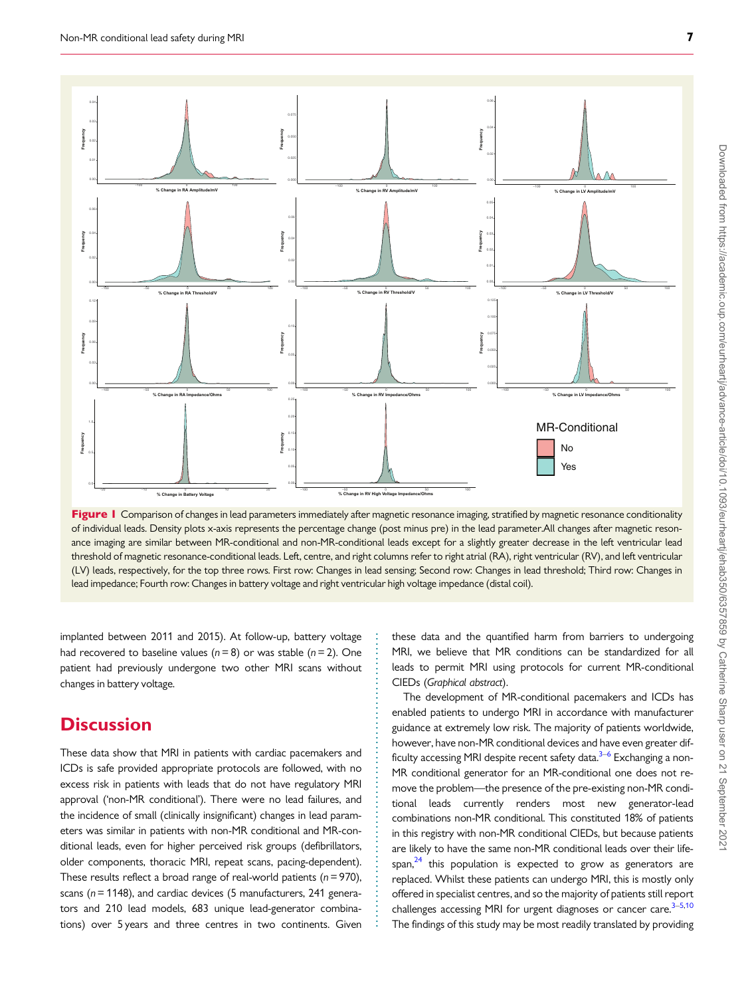<span id="page-6-0"></span>

Figure 1 Comparison of changes in lead parameters immediately after magnetic resonance imaging, stratified by magnetic resonance conditionality of individual leads. Density plots x-axis represents the percentage change (post minus pre) in the lead parameter.All changes after magnetic resonance imaging are similar between MR-conditional and non-MR-conditional leads except for a slightly greater decrease in the left ventricular lead threshold of magnetic resonance-conditional leads. Left, centre, and right columns refer to right atrial (RA), right ventricular (RV), and left ventricular (LV) leads, respectively, for the top three rows. First row: Changes in lead sensing; Second row: Changes in lead threshold; Third row: Changes in lead impedance; Fourth row: Changes in battery voltage and right ventricular high voltage impedance (distal coil).

. . . . . . . . . . . . . . . . . . . . . . . . . . . . . . . . . . . . . . . . . . . . . . . . . . . . . . . . . . .

implanted between 2011 and 2015). At follow-up, battery voltage had recovered to baseline values ( $n = 8$ ) or was stable ( $n = 2$ ). One patient had previously undergone two other MRI scans without changes in battery voltage.

### **Discussion**

These data show that MRI in patients with cardiac pacemakers and ICDs is safe provided appropriate protocols are followed, with no excess risk in patients with leads that do not have regulatory MRI approval ('non-MR conditional'). There were no lead failures, and the incidence of small (clinically insignificant) changes in lead parameters was similar in patients with non-MR conditional and MR-conditional leads, even for higher perceived risk groups (defibrillators, older components, thoracic MRI, repeat scans, pacing-dependent). These results reflect a broad range of real-world patients ( $n = 970$ ), scans ( $n = 1148$ ), and cardiac devices (5 manufacturers, 241 generators and 210 lead models, 683 unique lead-generator combinations) over 5 years and three centres in two continents. Given

these data and the quantified harm from barriers to undergoing MRI, we believe that MR conditions can be standardized for all leads to permit MRI using protocols for current MR-conditional CIEDs (Graphical abstract).

The development of MR-conditional pacemakers and ICDs has enabled patients to undergo MRI in accordance with manufacturer guidance at extremely low risk. The majority of patients worldwide, however, have non-MR conditional devices and have even greater difficulty accessing MRI despite recent safety data. $3-6$  Exchanging a non-MR conditional generator for an MR-conditional one does not remove the problem—the presence of the pre-existing non-MR conditional leads currently renders most new generator-lead combinations non-MR conditional. This constituted 18% of patients in this registry with non-MR conditional CIEDs, but because patients are likely to have the same non-MR conditional leads over their lifespan, $24$  this population is expected to grow as generators are replaced. Whilst these patients can undergo MRI, this is mostly only offered in specialist centres, and so the majority of patients still report challenges accessing MRI for urgent diagnoses or cancer care. $3-5,10$ The findings of this study may be most readily translated by providing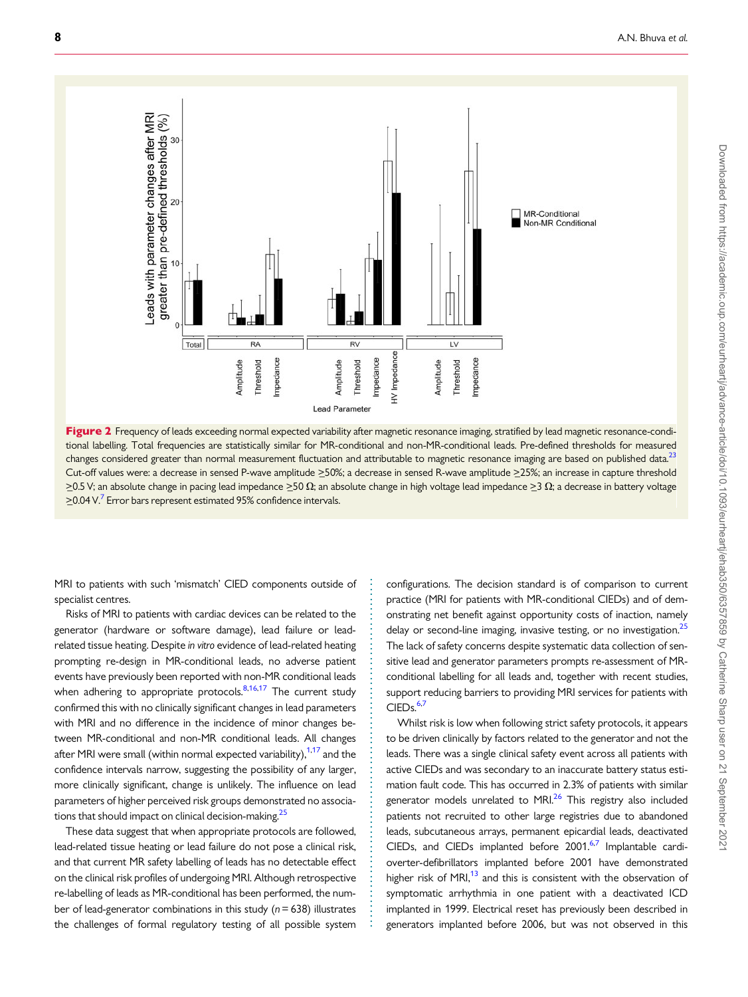<span id="page-7-0"></span>

Figure 2 Frequency of leads exceeding normal expected variability after magnetic resonance imaging, stratified by lead magnetic resonance-conditional labelling. Total frequencies are statistically similar for MR-conditional and non-MR-conditional leads. Pre-defined thresholds for measured changes considered greater than normal measurement fluctuation and attributable to magnetic resonance imaging are based on published data.<sup>[23](#page-9-0)</sup> Cut-off values were: a decrease in sensed P-wave amplitude >50%; a decrease in sensed R-wave amplitude >25%; an increase in capture threshold  $\geq$ 0.5 V; an absolute change in pacing lead impedance  $\geq$ 50  $\Omega$ ; an absolute change in high voltage lead impedance  $\geq$ 3  $\Omega$ ; a decrease in battery voltage  $\geq$ 0.04 V.<sup>7</sup> Error bars represent estimated 95% confidence intervals.

> . . . . . . . . . . . . . . . . . . . . . . . . . . . . . . . . . . . . . . . . . . . . . . . . . . . . . . . . . . . . . . . . . . . . . .

. MRI to patients with such 'mismatch' CIED components outside of specialist centres.

Risks of MRI to patients with cardiac devices can be related to the generator (hardware or software damage), lead failure or leadrelated tissue heating. Despite in vitro evidence of lead-related heating prompting re-design in MR-conditional leads, no adverse patient events have previously been reported with non-MR conditional leads when adhering to appropriate protocols. $8,16,17$  The current study confirmed this with no clinically significant changes in lead parameters with MRI and no difference in the incidence of minor changes between MR-conditional and non-MR conditional leads. All changes after MRI were small (within normal expected variability), $1,17$  $1,17$  $1,17$  and the confidence intervals narrow, suggesting the possibility of any larger, more clinically significant, change is unlikely. The influence on lead parameters of higher perceived risk groups demonstrated no associations that should impact on clinical decision-making.<sup>25</sup>

These data suggest that when appropriate protocols are followed, lead-related tissue heating or lead failure do not pose a clinical risk, and that current MR safety labelling of leads has no detectable effect on the clinical risk profiles of undergoing MRI. Although retrospective re-labelling of leads as MR-conditional has been performed, the number of lead-generator combinations in this study ( $n = 638$ ) illustrates the challenges of formal regulatory testing of all possible system configurations. The decision standard is of comparison to current practice (MRI for patients with MR-conditional CIEDs) and of demonstrating net benefit against opportunity costs of inaction, namely delay or second-line imaging, invasive testing, or no investigation.<sup>25</sup> The lack of safety concerns despite systematic data collection of sensitive lead and generator parameters prompts re-assessment of MRconditional labelling for all leads and, together with recent studies, support reducing barriers to providing MRI services for patients with  $CIEDs.<sup>6,7</sup>$  $CIEDs.<sup>6,7</sup>$  $CIEDs.<sup>6,7</sup>$ 

Whilst risk is low when following strict safety protocols, it appears to be driven clinically by factors related to the generator and not the leads. There was a single clinical safety event across all patients with active CIEDs and was secondary to an inaccurate battery status estimation fault code. This has occurred in 2.3% of patients with similar generator models unrelated to MRI $^{26}$  $^{26}$  $^{26}$  This registry also included patients not recruited to other large registries due to abandoned leads, subcutaneous arrays, permanent epicardial leads, deactivated CIEDs, and CIEDs implanted before 2001.<sup>[6,7](#page-8-0)</sup> Implantable cardioverter-defibrillators implanted before 2001 have demonstrated higher risk of MRI $,^{13}$  and this is consistent with the observation of symptomatic arrhythmia in one patient with a deactivated ICD implanted in 1999. Electrical reset has previously been described in generators implanted before 2006, but was not observed in this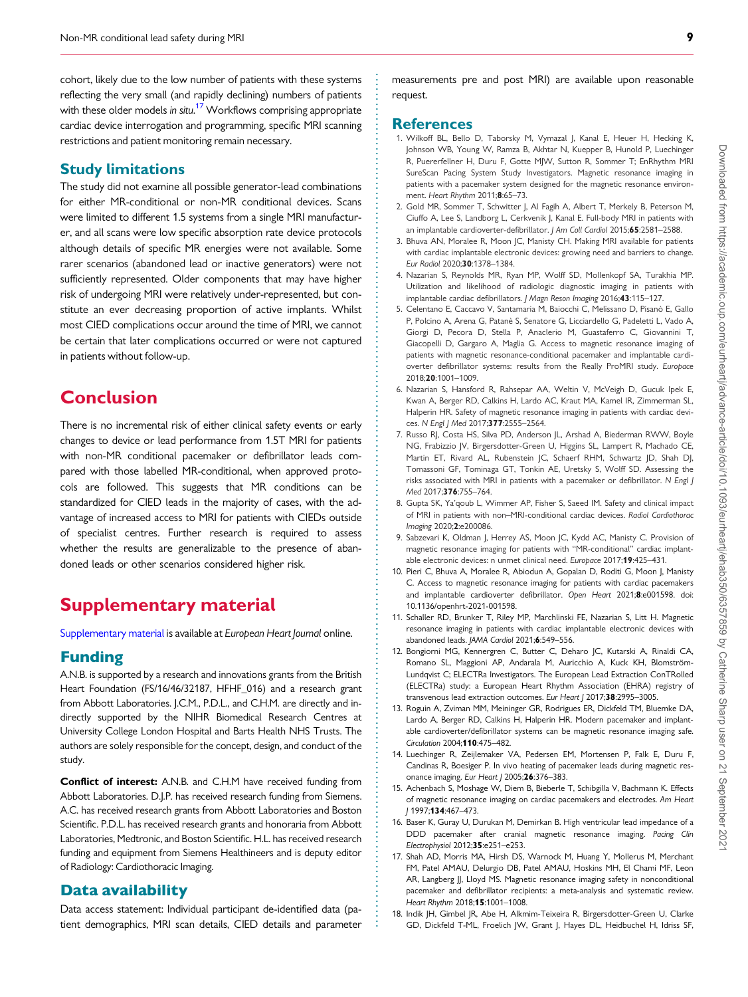<span id="page-8-0"></span>. cohort, likely due to the low number of patients with these systems reflecting the very small (and rapidly declining) numbers of patients with these older models *in situ.<sup>17</sup> Workf*lows comprising appropriate cardiac device interrogation and programming, specific MRI scanning restrictions and patient monitoring remain necessary.

#### Study limitations

The study did not examine all possible generator-lead combinations for either MR-conditional or non-MR conditional devices. Scans were limited to different 1.5 systems from a single MRI manufacturer, and all scans were low specific absorption rate device protocols although details of specific MR energies were not available. Some rarer scenarios (abandoned lead or inactive generators) were not sufficiently represented. Older components that may have higher risk of undergoing MRI were relatively under-represented, but constitute an ever decreasing proportion of active implants. Whilst most CIED complications occur around the time of MRI, we cannot be certain that later complications occurred or were not captured in patients without follow-up.

### **Conclusion**

There is no incremental risk of either clinical safety events or early changes to device or lead performance from 1.5T MRI for patients with non-MR conditional pacemaker or defibrillator leads compared with those labelled MR-conditional, when approved protocols are followed. This suggests that MR conditions can be standardized for CIED leads in the majority of cases, with the advantage of increased access to MRI for patients with CIEDs outside of specialist centres. Further research is required to assess whether the results are generalizable to the presence of abandoned leads or other scenarios considered higher risk.

### Supplementary material

[Supplementary material](https://academic.oup.com/eurheartj/article-lookup/doi/10.1093/eurheartj/ehab350#supplementary-data) is available at European Heart Journal online.

#### Funding

A.N.B. is supported by a research and innovations grants from the British Heart Foundation (FS/16/46/32187, HFHF\_016) and a research grant from Abbott Laboratories. J.C.M., P.D.L., and C.H.M. are directly and indirectly supported by the NIHR Biomedical Research Centres at University College London Hospital and Barts Health NHS Trusts. The authors are solely responsible for the concept, design, and conduct of the study.

Conflict of interest: A.N.B. and C.H.M have received funding from Abbott Laboratories. D.J.P. has received research funding from Siemens. A.C. has received research grants from Abbott Laboratories and Boston Scientific. P.D.L. has received research grants and honoraria from Abbott Laboratories, Medtronic, and Boston Scientific. H.L. has received research funding and equipment from Siemens Healthineers and is deputy editor of Radiology: Cardiothoracic Imaging.

#### Data availability

Data access statement: Individual participant de-identified data (patient demographics, MRI scan details, CIED details and parameter measurements pre and post MRI) are available upon reasonable request.

#### References

- [1](#page-1-0). Wilkoff BL, Bello D, Taborsky M, Vymazal J, Kanal E, Heuer H, Hecking K, Johnson WB, Young W, Ramza B, Akhtar N, Kuepper B, Hunold P, Luechinger R, Puererfellner H, Duru F, Gotte MJW, Sutton R, Sommer T; EnRhythm MRI SureScan Pacing System Study Investigators. Magnetic resonance imaging in patients with a pacemaker system designed for the magnetic resonance environment. Heart Rhythm 2011;8:65–73.
- [2](#page-1-0). Gold MR, Sommer T, Schwitter J, Al Fagih A, Albert T, Merkely B, Peterson M, Ciuffo A, Lee S, Landborg L, Cerkvenik J, Kanal E. Full-body MRI in patients with an implantable cardioverter-defibrillator. J Am Coll Cardiol 2015;65:2581-2588.
- [3](#page-1-0). Bhuva AN, Moralee R, Moon JC, Manisty CH. Making MRI available for patients with cardiac implantable electronic devices: growing need and barriers to change. Eur Radiol 2020;30:1378–1384.
- 4. Nazarian S, Reynolds MR, Ryan MP, Wolff SD, Mollenkopf SA, Turakhia MP. Utilization and likelihood of radiologic diagnostic imaging in patients with implantable cardiac defibrillators. J Magn Reson Imaging 2016;43:115–127.
- 5. Celentano E, Caccavo V, Santamaria M, Baiocchi C, Melissano D, Pisanò E, Gallo P, Polcino A, Arena G, Patanè S, Senatore G, Licciardello G, Padeletti L, Vado A, Giorgi D, Pecora D, Stella P, Anaclerio M, Guastaferro C, Giovannini T, Giacopelli D, Gargaro A, Maglia G. Access to magnetic resonance imaging of patients with magnetic resonance-conditional pacemaker and implantable cardioverter defibrillator systems: results from the Really ProMRI study. Europace 2018;20:1001–1009.
- [6](#page-1-0). Nazarian S, Hansford R, Rahsepar AA, Weltin V, McVeigh D, Gucuk Ipek E, Kwan A, Berger RD, Calkins H, Lardo AC, Kraut MA, Kamel IR, Zimmerman SL, Halperin HR. Safety of magnetic resonance imaging in patients with cardiac devices. N Engl | Med 2017;377:2555-2564.
- [7](#page-2-0). Russo RJ, Costa HS, Silva PD, Anderson JL, Arshad A, Biederman RWW, Boyle NG, Frabizzio JV, Birgersdotter-Green U, Higgins SL, Lampert R, Machado CE, Martin ET, Rivard AL, Rubenstein JC, Schaerf RHM, Schwartz JD, Shah DJ, Tomassoni GF, Tominaga GT, Tonkin AE, Uretsky S, Wolff SD. Assessing the risks associated with MRI in patients with a pacemaker or defibrillator. N Engl J Med 2017;376:755–764.
- [8](#page-7-0). Gupta SK, Ya'qoub L, Wimmer AP, Fisher S, Saeed IM. Safety and clinical impact of MRI in patients with non–MRI-conditional cardiac devices. Radiol Cardiothorac Imaging 2020;2:e200086.
- 9. Sabzevari K, Oldman J, Herrey AS, Moon JC, Kydd AC, Manisty C. Provision of magnetic resonance imaging for patients with "MR-conditional" cardiac implantable electronic devices: n unmet clinical need. Europace 2017;19:425–431.
- [10](#page-6-0). Pieri C, Bhuva A, Moralee R, Abiodun A, Gopalan D, Roditi G, Moon J, Manisty C. Access to magnetic resonance imaging for patients with cardiac pacemakers and implantable cardioverter defibrillator. Open Heart 2021;8:e001598. doi: 10.1136/openhrt-2021-001598.
- [11](#page-1-0). Schaller RD, Brunker T, Riley MP, Marchlinski FE, Nazarian S, Litt H. Magnetic resonance imaging in patients with cardiac implantable electronic devices with abandoned leads. JAMA Cardiol 2021;6:549–556.
- [12](#page-1-0). Bongiorni MG, Kennergren C, Butter C, Deharo JC, Kutarski A, Rinaldi CA, Romano SL, Maggioni AP, Andarala M, Auricchio A, Kuck KH, Blomström-Lundqvist C; ELECTRa Investigators. The European Lead Extraction ConTRolled (ELECTRa) study: a European Heart Rhythm Association (EHRA) registry of transvenous lead extraction outcomes. Eur Heart J 2017;38:2995-3005.
- [13](#page-2-0). Roguin A, Zviman MM, Meininger GR, Rodrigues ER, Dickfeld TM, Bluemke DA, Lardo A, Berger RD, Calkins H, Halperin HR. Modern pacemaker and implantable cardioverter/defibrillator systems can be magnetic resonance imaging safe. Circulation 2004;110:475–482.
- 14. Luechinger R, Zeijlemaker VA, Pedersen EM, Mortensen P, Falk E, Duru F, Candinas R, Boesiger P. In vivo heating of pacemaker leads during magnetic resonance imaging. Eur Heart J 2005;26:376-383.
- 15. Achenbach S, Moshage W, Diem B, Bieberle T, Schibgilla V, Bachmann K. Effects of magnetic resonance imaging on cardiac pacemakers and electrodes. Am Heart J 1997;134:467–473.
- [16](#page-7-0). Baser K, Guray U, Durukan M, Demirkan B. High ventricular lead impedance of a DDD pacemaker after cranial magnetic resonance imaging. Pacing Clin Electrophysiol 2012;35:e251–e253.
- [17](#page-1-0). Shah AD, Morris MA, Hirsh DS, Warnock M, Huang Y, Mollerus M, Merchant FM, Patel AMAU, Delurgio DB, Patel AMAU, Hoskins MH, El Chami MF, Leon AR, Langberg JJ, Lloyd MS. Magnetic resonance imaging safety in nonconditional pacemaker and defibrillator recipients: a meta-analysis and systematic review. Heart Rhythm 2018;15:1001–1008.
- [18](#page-2-0). Indik JH, Gimbel JR, Abe H, Alkmim-Teixeira R, Birgersdotter-Green U, Clarke GD, Dickfeld T-ML, Froelich JW, Grant J, Hayes DL, Heidbuchel H, Idriss SF,

. . . . . . . . . . . . . . . . . . . . . . . . . . . . . . . . . . . . . . . . . . . . . . . . . . . . . . . . . . . . . . . . . . . . . . . . . . . . . . . . . . . . . . . . . . . . . . . . . . . . . . . . . . . . . . . . . . . . . . . . . . . . . . . . . . . . . . . . . . . . . . . . . . . . . . . . . . . . . . . . . . . . . . . . . . . .